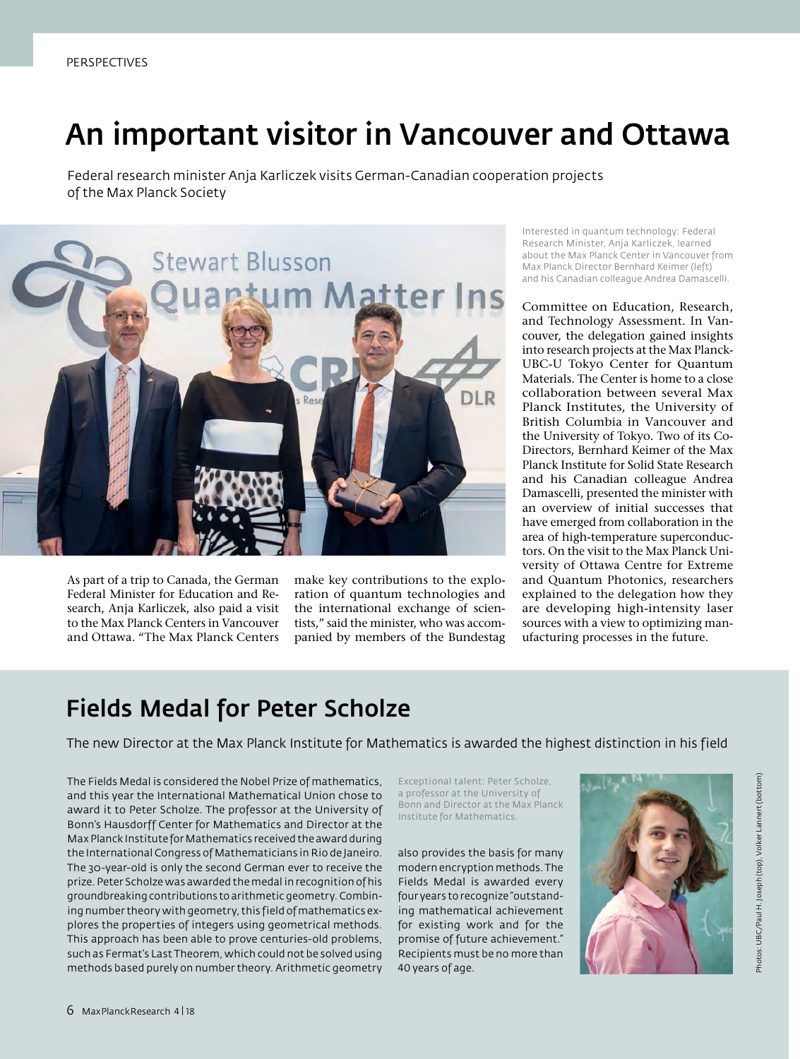## An important visitor in Vancouver and Ottawa

Federal research minister Anja Karliczek visits German-Canadian cooperation projects of the Max Planck Society



As part of a trip to Canada, the German Federal Minister for Education and Research, Anja Karliczek, also paid a visit to the Max Planck Centers in Vancouver and Ottawa. "The Max Planck Centers make key contributions to the exploration of quantum technologies and the international exchange of scientists," said the minister, who was accompanied by members of the Bundestag

Interested in quantum technology: Federal Research Minister, Anja Karliczek, learned about the Max Planck Center in Vancouver from Max Planck Director Bernhard Keimer (left) and his Canadian colleague Andrea Damascelli.

Committee on Education, Research, and Technology Assessment. In Vancouver, the delegation gained insights into research projects at the Max Planck-UBC-U Tokyo Center for Quantum Materials. The Center is home to a close collaboration between several Max Planck Institutes, the University of British Columbia in Vancouver and the University of Tokyo. Two of its Co-Directors, Bernhard Keimer of the Max Planck Institute for Solid State Research and his Canadian colleague Andrea Damascelli, presented the minister with an overview of initial successes that have emerged from collaboration in the area of high-temperature superconductors. On the visit to the Max Planck University of Ottawa Centre for Extreme and Quantum Photonics, researchers explained to the delegation how they are developing high-intensity laser sources with a view to optimizing manufacturing processes in the future.

### Fields Medal for Peter Scholze

The new Director at the Max Planck Institute for Mathematics is awarded the highest distinction in his field

The Fields Medal is considered the Nobel Prize of mathematics, and this year the International Mathematical Union chose to award it to Peter Scholze. The professor at the University of Bonn's Hausdorff Center for Mathematics and Director at the Max Planck Institute for Mathematics received the award during the International Congress of Mathematicians in Rio de Janeiro. The 30-year-old is only the second German ever to receive the prize. Peter Scholze was awarded the medal in recognition of his groundbreaking contributions to arithmetic geometry. Combining number theory with geometry, this field of mathematics explores the properties of integers using geometrical methods. This approach has been able to prove centuries-old problems, such as Fermat's Last Theorem, which could not be solved using methods based purely on number theory. Arithmetic geometry

Exceptional talent: Peter Scholze, a professor at the University of Bonn and Director at the Max Planck Institute for Mathematics.

also provides the basis for many modern encryption methods. The Fields Medal is awarded every four years to recognize "outstanding mathematical achievement for existing work and for the promise of future achievement." Recipients must be no more than 40 years of age.

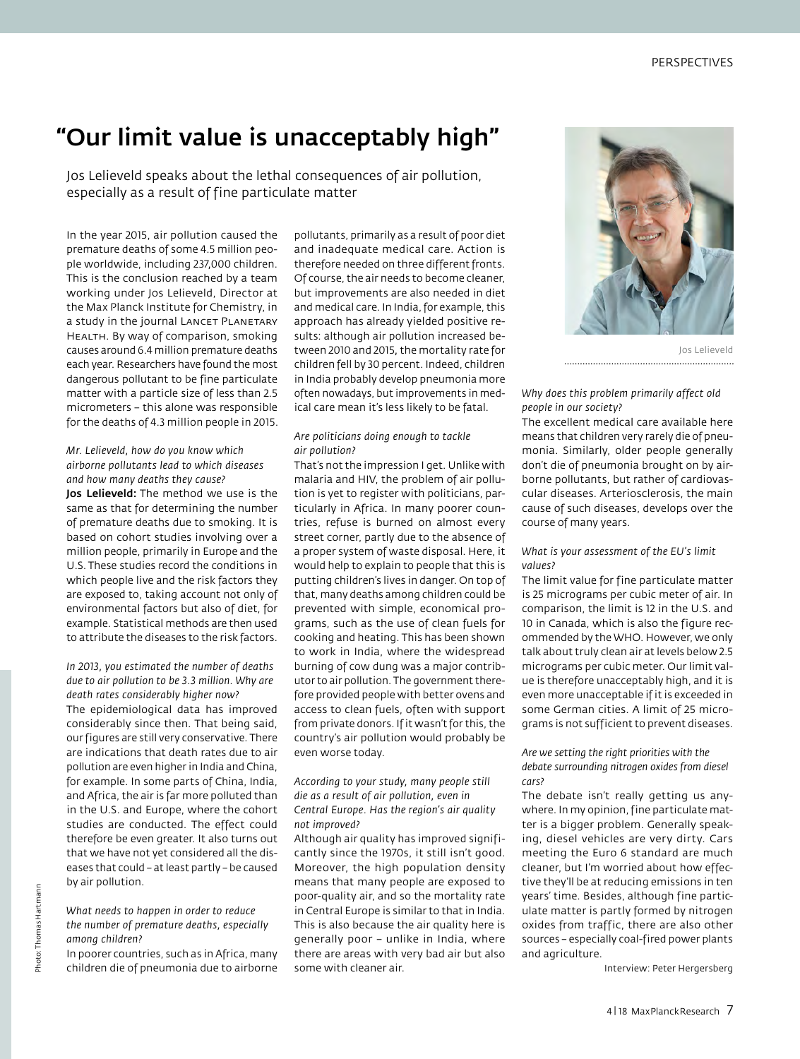### "Our limit value is unacceptably high"

Jos Lelieveld speaks about the lethal consequences of air pollution, especially as a result of fine particulate matter

In the year 2015, air pollution caused the premature deaths of some 4.5 million people worldwide, including 237,000 children. This is the conclusion reached by a team working under Jos Lelieveld, Director at the Max Planck Institute for Chemistry, in a study in the journal LANCET PLANETARY HEALTH. By way of comparison, smoking causes around 6.4 million premature deaths each year. Researchers have found the most dangerous pollutant to be fine particulate matter with a particle size of less than 2.5 micrometers – this alone was responsible for the deaths of 4.3 million people in 2015.

### *Mr. Lelieveld, how do you know which airborne pollutants lead to which diseases and how many deaths they cause?*

Jos Lelieveld: The method we use is the same as that for determining the number of premature deaths due to smoking. It is based on cohort studies involving over a million people, primarily in Europe and the U.S. These studies record the conditions in which people live and the risk factors they are exposed to, taking account not only of environmental factors but also of diet, for example. Statistical methods are then used to attribute the diseases to the risk factors.

#### *In 2013, you estimated the number of deaths due to air pollution to be 3.3 million. Why are death rates considerably higher now?*

The epidemiological data has improved considerably since then. That being said, our figures are still very conservative. There are indications that death rates due to air pollution are even higher in India and China, for example. In some parts of China, India, and Africa, the air is far more polluted than in the U.S. and Europe, where the cohort studies are conducted. The effect could therefore be even greater. It also turns out that we have not yet considered all the diseases that could – at least partly – be caused by air pollution.

#### *What needs to happen in order to reduce the number of premature deaths, especially among children?*

In poorer countries, such as in Africa, many children die of pneumonia due to airborne pollutants, primarily as a result of poor diet and inadequate medical care. Action is therefore needed on three different fronts. Of course, the air needs to become cleaner, but improvements are also needed in diet and medical care. In India, for example, this approach has already yielded positive results: although air pollution increased between 2010 and 2015, the mortality rate for children fell by 30 percent. Indeed, children in India probably develop pneumonia more often nowadays, but improvements in medical care mean it's less likely to be fatal.

### *Are politicians doing enough to tackle air pollution?*

That's not the impression I get. Unlike with malaria and HIV, the problem of air pollution is yet to register with politicians, particularly in Africa. In many poorer countries, refuse is burned on almost every street corner, partly due to the absence of a proper system of waste disposal. Here, it would help to explain to people that this is putting children's lives in danger. On top of that, many deaths among children could be prevented with simple, economical programs, such as the use of clean fuels for cooking and heating. This has been shown to work in India, where the widespread burning of cow dung was a major contributor to air pollution. The government therefore provided people with better ovens and access to clean fuels, often with support from private donors. If it wasn't for this, the country's air pollution would probably be even worse today.

#### *According to your study, many people still die as a result of air pollution, even in Central Europe. Has the region's air quality not improved?*

Although air quality has improved significantly since the 1970s, it still isn't good. Moreover, the high population density means that many people are exposed to poor-quality air, and so the mortality rate in Central Europe is similar to that in India. This is also because the air quality here is generally poor – unlike in India, where there are areas with very bad air but also some with cleaner air.



Jos Lelieveld 

### *Why does this problem primarily affect old people in our society?*

The excellent medical care available here means that children very rarely die of pneumonia. Similarly, older people generally don't die of pneumonia brought on by airborne pollutants, but rather of cardiovascular diseases. Arteriosclerosis, the main cause of such diseases, develops over the course of many years.

#### *What is your assessment of the EU's limit values?*

The limit value for fine particulate matter is 25 micrograms per cubic meter of air. In comparison, the limit is 12 in the U.S. and 10 in Canada, which is also the figure recommended by the WHO. However, we only talk about truly clean air at levels below 2.5 micrograms per cubic meter. Our limit value is therefore unacceptably high, and it is even more unacceptable if it is exceeded in some German cities. A limit of 25 micrograms is not sufficient to prevent diseases.

### *Are we setting the right priorities with the debate surrounding nitrogen oxides from diesel cars?*

The debate isn't really getting us anywhere. In my opinion, fine particulate matter is a bigger problem. Generally speaking, diesel vehicles are very dirty. Cars meeting the Euro 6 standard are much cleaner, but I'm worried about how effective they'll be at reducing emissions in ten years' time. Besides, although fine particulate matter is partly formed by nitrogen oxides from traffic, there are also other sources – especially coal-fired power plants and agriculture.

Interview: Peter Hergersberg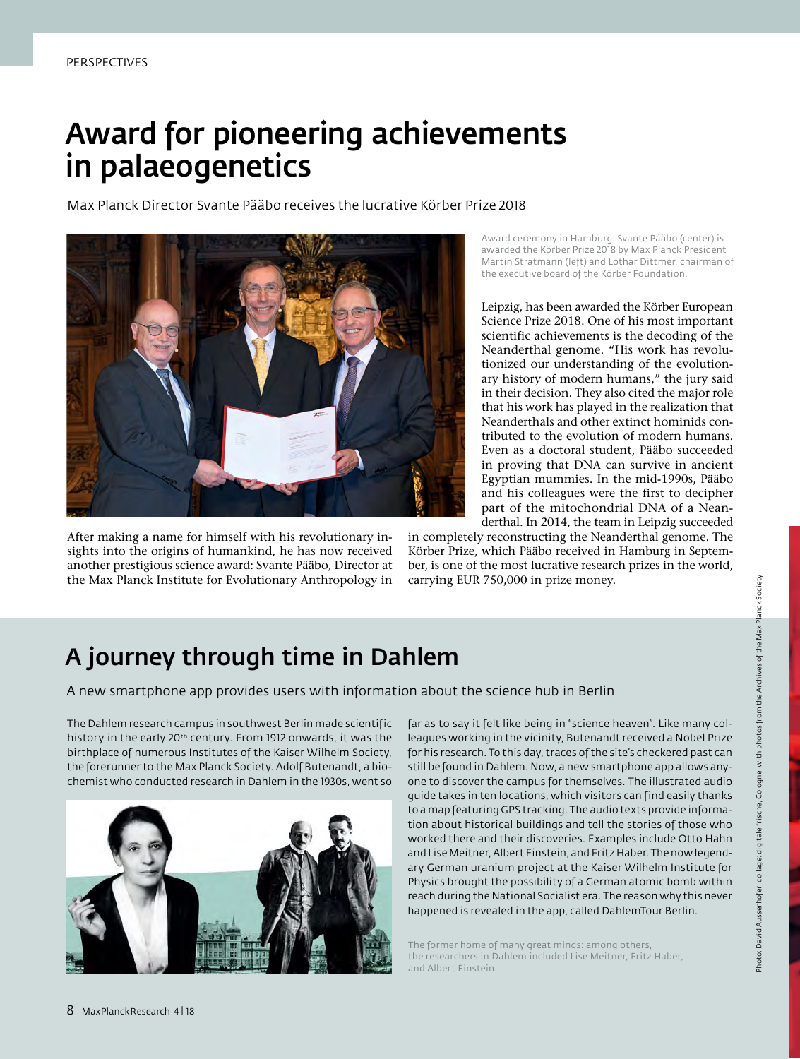### Award for pioneering achievements in palaeogenetics

Max Planck Director Svante Pääbo receives the lucrative Körber Prize 2018



After making a name for himself with his revolutionary insights into the origins of humankind, he has now received another prestigious science award: Svante Pääbo, Director at the Max Planck Institute for Evolutionary Anthropology in Award ceremony in Hamburg: Svante Pääbo (center) is awarded the Körber Prize 2018 by Max Planck President Martin Stratmann (left) and Lothar Dittmer, chairman of the executive board of the Körber Foundation.

Leipzig, has been awarded the Körber European Science Prize 2018. One of his most important scientific achievements is the decoding of the Neanderthal genome. "His work has revolutionized our understanding of the evolutionary history of modern humans," the jury said in their decision. They also cited the major role that his work has played in the realization that Neanderthals and other extinct hominids contributed to the evolution of modern humans. Even as a doctoral student, Pääbo succeeded in proving that DNA can survive in ancient Egyptian mummies. In the mid-1990s, Pääbo and his colleagues were the first to decipher part of the mitochondrial DNA of a Neanderthal. In 2014, the team in Leipzig succeeded

in completely reconstructing the Neanderthal genome. The Körber Prize, which Pääbo received in Hamburg in September, is one of the most lucrative research prizes in the world, carrying EUR 750,000 in prize money.

### A journey through time in Dahlem

A new smartphone app provides users with information about the science hub in Berlin

The Dahlem research campus in southwest Berlin made scientific history in the early 20th century. From 1912 onwards, it was the birthplace of numerous Institutes of the Kaiser Wilhelm Society, the forerunner to the Max Planck Society. Adolf Butenandt, a biochemist who conducted research in Dahlem in the 1930s, went so



far as to say it felt like being in "science heaven". Like many colleagues working in the vicinity, Butenandt received a Nobel Prize for his research. To this day, traces of the site's checkered past can still be found in Dahlem. Now, a new smartphone app allows anyone to discover the campus for themselves. The illustrated audio guide takes in ten locations, which visitors can find easily thanks to a map featuring GPS tracking. The audio texts provide information about historical buildings and tell the stories of those who worked there and their discoveries. Examples include Otto Hahn and Lise Meitner, Albert Einstein, and Fritz Haber. The now legendary German uranium project at the Kaiser Wilhelm Institute for Physics brought the possibility of a German atomic bomb within reach during the National Socialist era. The reason why this never happened is revealed in the app, called DahlemTour Berlin.

The former home of many great minds: among others, the researchers in Dahlem included Lise Meitner, Fritz Haber, and Albert Einstein.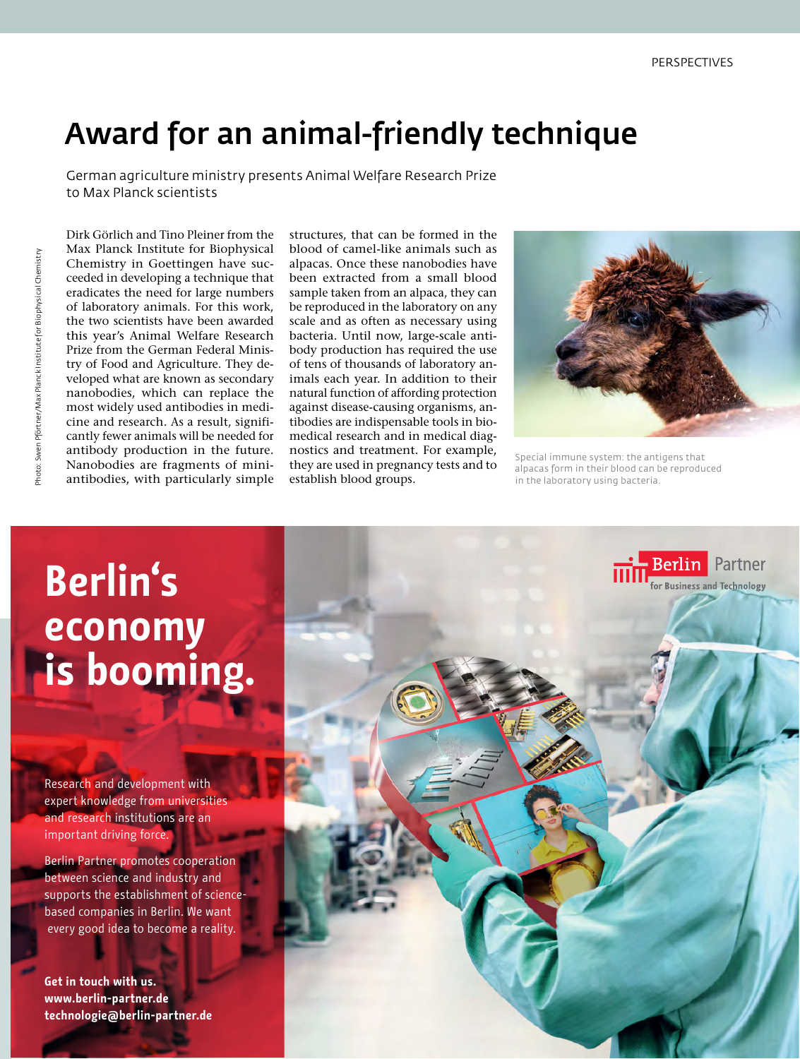### Award for an animal-friendly technique

German agriculture ministry presents Animal Welfare Research Prize to Max Planck scientists

Dirk Görlich and Tino Pleiner from the Max Planck Institute for Biophysical Chemistry in Goettingen have succeeded in developing a technique that eradicates the need for large numbers of laboratory animals. For this work, the two scientists have been awarded this year's Animal Welfare Research Prize from the German Federal Ministry of Food and Agriculture. They developed what are known as secondary nanobodies, which can replace the most widely used antibodies in medicine and research. As a result, significantly fewer animals will be needed for antibody production in the future. Nanobodies are fragments of miniantibodies, with particularly simple

structures, that can be formed in the blood of camel-like animals such as alpacas. Once these nanobodies have been extracted from a small blood sample taken from an alpaca, they can be reproduced in the laboratory on any scale and as often as necessary using bacteria. Until now, large-scale antibody production has required the use of tens of thousands of laboratory animals each year. In addition to their natural function of affording protection against disease-causing organisms, antibodies are indispensable tools in biomedical research and in medical diagnostics and treatment. For example, they are used in pregnancy tests and to establish blood groups.



Special immune system: the antigens that alpacas form in their blood can be reproduced in the laboratory using bacteria.

# **Berlin's economy is booming.**

Research and development with expert knowledge from universities and research institutions are an important driving force.

Berlin Partner promotes cooperation between science and industry and supports the establishment of sciencebased companies in Berlin. We want every good idea to become a reality.

**Get in touch with us. www.berlin-partner.de technologie@berlin-partner.de**

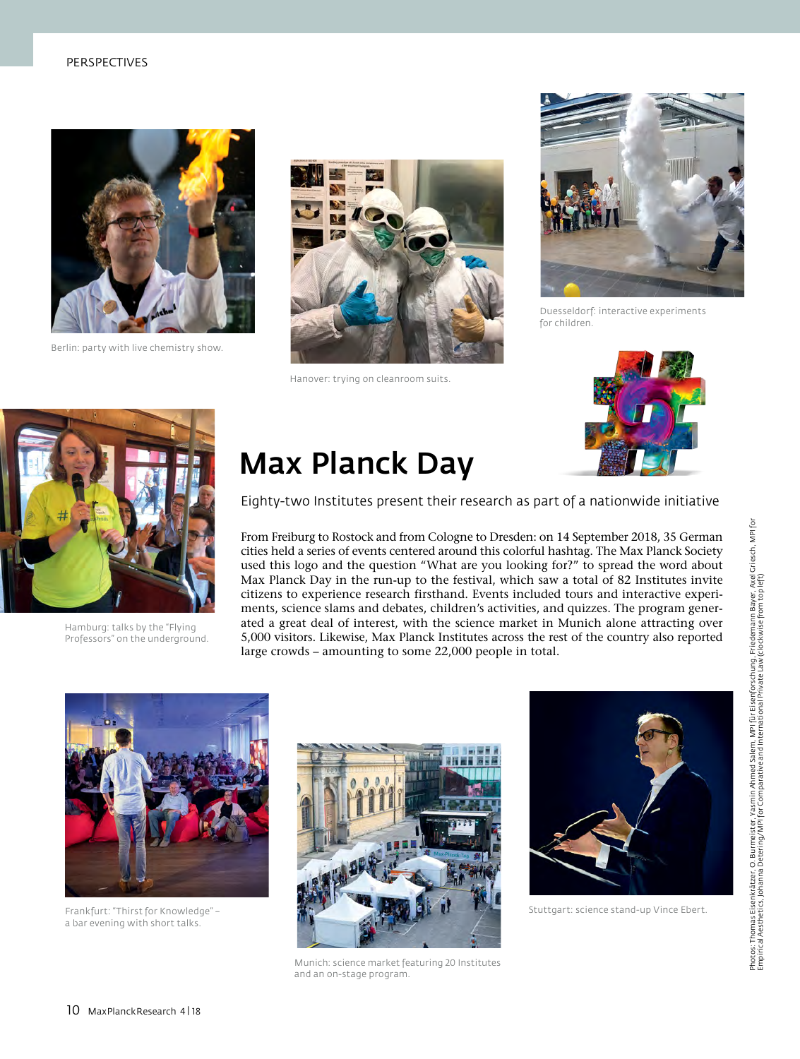### PERSPECTIVES



Berlin: party with live chemistry show.



Hanover: trying on cleanroom suits.



Duesseldorf: interactive experiments for children.





Hamburg: talks by the "Flying Professors" on the underground.

### Max Planck Day

Eighty-two Institutes present their research as part of a nationwide initiative

From Freiburg to Rostock and from Cologne to Dresden: on 14 September 2018, 35 German cities held a series of events centered around this colorful hashtag. The Max Planck Society Max Planck Day in the run-up to the festival, which saw a total of 82 Institutes invite citizens to experience research firsthand. Events included tours and interactive experiments, science slams and debates, children's activities, and quizzes. The program generused this logo and the question "What are you looking for?" to spread the word about ated a great deal of interest, with the science market in Munich alone attracting over 5,000 visitors. Likewise, Max Planck Institutes across the rest of the country also reported large crowds – amounting to some 22,000 people in total.



Frankfurt: "Thirst for Knowledge" – a bar evening with short talks.



Munich: science market featuring 20 Institutes and an on-stage program.



Stuttgart: science stand-up Vince Ebert.